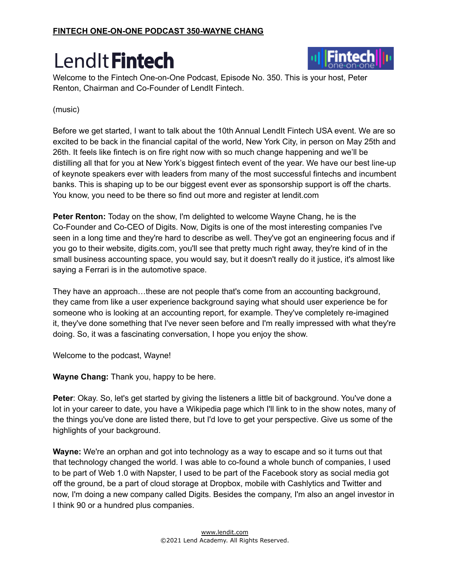

Welcome to the Fintech One-on-One Podcast, Episode No. 350. This is your host, Peter Renton, Chairman and Co-Founder of LendIt Fintech.

#### (music)

Before we get started, I want to talk about the 10th Annual LendIt Fintech USA event. We are so excited to be back in the financial capital of the world, New York City, in person on May 25th and 26th. It feels like fintech is on fire right now with so much change happening and we'll be distilling all that for you at New York's biggest fintech event of the year. We have our best line-up of keynote speakers ever with leaders from many of the most successful fintechs and incumbent banks. This is shaping up to be our biggest event ever as sponsorship support is off the charts. You know, you need to be there so find out more and register at lendit.com

**Peter Renton:** Today on the show, I'm delighted to welcome Wayne Chang, he is the Co-Founder and Co-CEO of Digits. Now, Digits is one of the most interesting companies I've seen in a long time and they're hard to describe as well. They've got an engineering focus and if you go to their website, digits.com, you'll see that pretty much right away, they're kind of in the small business accounting space, you would say, but it doesn't really do it justice, it's almost like saying a Ferrari is in the automotive space.

They have an approach…these are not people that's come from an accounting background, they came from like a user experience background saying what should user experience be for someone who is looking at an accounting report, for example. They've completely re-imagined it, they've done something that I've never seen before and I'm really impressed with what they're doing. So, it was a fascinating conversation, I hope you enjoy the show.

Welcome to the podcast, Wayne!

**Wayne Chang:** Thank you, happy to be here.

**Peter**: Okay. So, let's get started by giving the listeners a little bit of background. You've done a lot in your career to date, you have a Wikipedia page which I'll link to in the show notes, many of the things you've done are listed there, but I'd love to get your perspective. Give us some of the highlights of your background.

**Wayne:** We're an orphan and got into technology as a way to escape and so it turns out that that technology changed the world. I was able to co-found a whole bunch of companies, I used to be part of Web 1.0 with Napster, I used to be part of the Facebook story as social media got off the ground, be a part of cloud storage at Dropbox, mobile with Cashlytics and Twitter and now, I'm doing a new company called Digits. Besides the company, I'm also an angel investor in I think 90 or a hundred plus companies.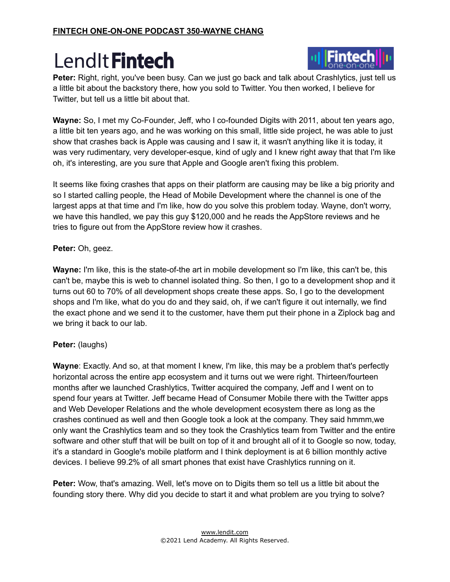

**Peter:** Right, right, you've been busy. Can we just go back and talk about Crashlytics, just tell us a little bit about the backstory there, how you sold to Twitter. You then worked, I believe for Twitter, but tell us a little bit about that.

**Wayne:** So, I met my Co-Founder, Jeff, who I co-founded Digits with 2011, about ten years ago, a little bit ten years ago, and he was working on this small, little side project, he was able to just show that crashes back is Apple was causing and I saw it, it wasn't anything like it is today, it was very rudimentary, very developer-esque, kind of ugly and I knew right away that that I'm like oh, it's interesting, are you sure that Apple and Google aren't fixing this problem.

It seems like fixing crashes that apps on their platform are causing may be like a big priority and so I started calling people, the Head of Mobile Development where the channel is one of the largest apps at that time and I'm like, how do you solve this problem today. Wayne, don't worry, we have this handled, we pay this guy \$120,000 and he reads the AppStore reviews and he tries to figure out from the AppStore review how it crashes.

#### **Peter:** Oh, geez.

**Wayne:** I'm like, this is the state-of-the art in mobile development so I'm like, this can't be, this can't be, maybe this is web to channel isolated thing. So then, I go to a development shop and it turns out 60 to 70% of all development shops create these apps. So, I go to the development shops and I'm like, what do you do and they said, oh, if we can't figure it out internally, we find the exact phone and we send it to the customer, have them put their phone in a Ziplock bag and we bring it back to our lab.

#### **Peter:** (laughs)

**Wayne**: Exactly. And so, at that moment I knew, I'm like, this may be a problem that's perfectly horizontal across the entire app ecosystem and it turns out we were right. Thirteen/fourteen months after we launched Crashlytics, Twitter acquired the company, Jeff and I went on to spend four years at Twitter. Jeff became Head of Consumer Mobile there with the Twitter apps and Web Developer Relations and the whole development ecosystem there as long as the crashes continued as well and then Google took a look at the company. They said hmmm,we only want the Crashlytics team and so they took the Crashlytics team from Twitter and the entire software and other stuff that will be built on top of it and brought all of it to Google so now, today, it's a standard in Google's mobile platform and I think deployment is at 6 billion monthly active devices. I believe 99.2% of all smart phones that exist have Crashlytics running on it.

**Peter:** Wow, that's amazing. Well, let's move on to Digits them so tell us a little bit about the founding story there. Why did you decide to start it and what problem are you trying to solve?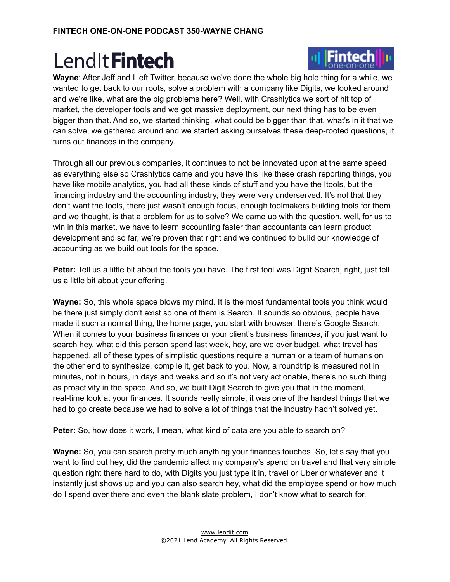

Finteci

Through all our previous companies, it continues to not be innovated upon at the same speed as everything else so Crashlytics came and you have this like these crash reporting things, you have like mobile analytics, you had all these kinds of stuff and you have the Itools, but the financing industry and the accounting industry, they were very underserved. It's not that they don't want the tools, there just wasn't enough focus, enough toolmakers building tools for them and we thought, is that a problem for us to solve? We came up with the question, well, for us to win in this market, we have to learn accounting faster than accountants can learn product development and so far, we're proven that right and we continued to build our knowledge of accounting as we build out tools for the space.

**Peter:** Tell us a little bit about the tools you have. The first tool was Dight Search, right, just tell us a little bit about your offering.

**Wayne:** So, this whole space blows my mind. It is the most fundamental tools you think would be there just simply don't exist so one of them is Search. It sounds so obvious, people have made it such a normal thing, the home page, you start with browser, there's Google Search. When it comes to your business finances or your client's business finances, if you just want to search hey, what did this person spend last week, hey, are we over budget, what travel has happened, all of these types of simplistic questions require a human or a team of humans on the other end to synthesize, compile it, get back to you. Now, a roundtrip is measured not in minutes, not in hours, in days and weeks and so it's not very actionable, there's no such thing as proactivity in the space. And so, we built Digit Search to give you that in the moment, real-time look at your finances. It sounds really simple, it was one of the hardest things that we had to go create because we had to solve a lot of things that the industry hadn't solved yet.

**Peter:** So, how does it work, I mean, what kind of data are you able to search on?

**Wayne:** So, you can search pretty much anything your finances touches. So, let's say that you want to find out hey, did the pandemic affect my company's spend on travel and that very simple question right there hard to do, with Digits you just type it in, travel or Uber or whatever and it instantly just shows up and you can also search hey, what did the employee spend or how much do I spend over there and even the blank slate problem, I don't know what to search for.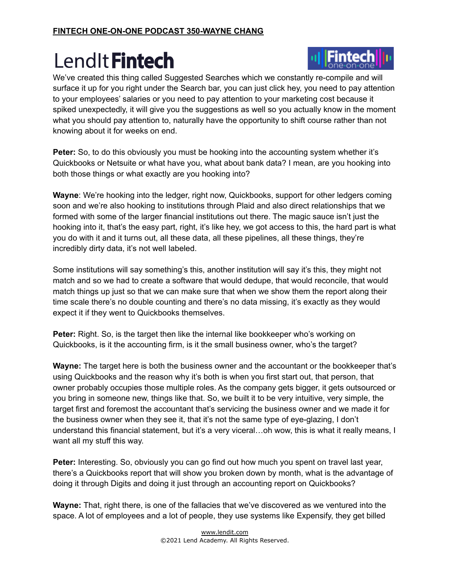

We've created this thing called Suggested Searches which we constantly re-compile and will surface it up for you right under the Search bar, you can just click hey, you need to pay attention to your employees' salaries or you need to pay attention to your marketing cost because it spiked unexpectedly, it will give you the suggestions as well so you actually know in the moment what you should pay attention to, naturally have the opportunity to shift course rather than not knowing about it for weeks on end.

**Peter:** So, to do this obviously you must be hooking into the accounting system whether it's Quickbooks or Netsuite or what have you, what about bank data? I mean, are you hooking into both those things or what exactly are you hooking into?

**Wayne**: We're hooking into the ledger, right now, Quickbooks, support for other ledgers coming soon and we're also hooking to institutions through Plaid and also direct relationships that we formed with some of the larger financial institutions out there. The magic sauce isn't just the hooking into it, that's the easy part, right, it's like hey, we got access to this, the hard part is what you do with it and it turns out, all these data, all these pipelines, all these things, they're incredibly dirty data, it's not well labeled.

Some institutions will say something's this, another institution will say it's this, they might not match and so we had to create a software that would dedupe, that would reconcile, that would match things up just so that we can make sure that when we show them the report along their time scale there's no double counting and there's no data missing, it's exactly as they would expect it if they went to Quickbooks themselves.

**Peter:** Right. So, is the target then like the internal like bookkeeper who's working on Quickbooks, is it the accounting firm, is it the small business owner, who's the target?

**Wayne:** The target here is both the business owner and the accountant or the bookkeeper that's using Quickbooks and the reason why it's both is when you first start out, that person, that owner probably occupies those multiple roles. As the company gets bigger, it gets outsourced or you bring in someone new, things like that. So, we built it to be very intuitive, very simple, the target first and foremost the accountant that's servicing the business owner and we made it for the business owner when they see it, that it's not the same type of eye-glazing, I don't understand this financial statement, but it's a very viceral…oh wow, this is what it really means, I want all my stuff this way.

**Peter:** Interesting. So, obviously you can go find out how much you spent on travel last year, there's a Quickbooks report that will show you broken down by month, what is the advantage of doing it through Digits and doing it just through an accounting report on Quickbooks?

**Wayne:** That, right there, is one of the fallacies that we've discovered as we ventured into the space. A lot of employees and a lot of people, they use systems like Expensify, they get billed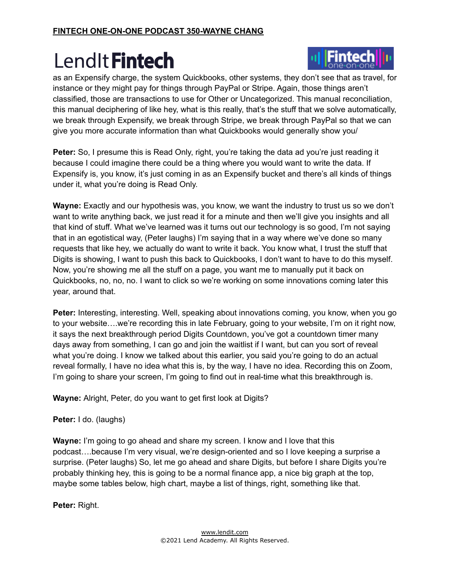

**Peter:** So, I presume this is Read Only, right, you're taking the data ad you're just reading it because I could imagine there could be a thing where you would want to write the data. If Expensify is, you know, it's just coming in as an Expensify bucket and there's all kinds of things under it, what you're doing is Read Only.

**Wayne:** Exactly and our hypothesis was, you know, we want the industry to trust us so we don't want to write anything back, we just read it for a minute and then we'll give you insights and all that kind of stuff. What we've learned was it turns out our technology is so good, I'm not saying that in an egotistical way, (Peter laughs) I'm saying that in a way where we've done so many requests that like hey, we actually do want to write it back. You know what, I trust the stuff that Digits is showing, I want to push this back to Quickbooks, I don't want to have to do this myself. Now, you're showing me all the stuff on a page, you want me to manually put it back on Quickbooks, no, no, no. I want to click so we're working on some innovations coming later this year, around that.

**Peter:** Interesting, interesting. Well, speaking about innovations coming, you know, when you go to your website….we're recording this in late February, going to your website, I'm on it right now, it says the next breakthrough period Digits Countdown, you've got a countdown timer many days away from something, I can go and join the waitlist if I want, but can you sort of reveal what you're doing. I know we talked about this earlier, you said you're going to do an actual reveal formally, I have no idea what this is, by the way, I have no idea. Recording this on Zoom, I'm going to share your screen, I'm going to find out in real-time what this breakthrough is.

**Wayne:** Alright, Peter, do you want to get first look at Digits?

**Peter:** I do. (laughs)

**Wayne:** I'm going to go ahead and share my screen. I know and I love that this podcast….because I'm very visual, we're design-oriented and so I love keeping a surprise a surprise. (Peter laughs) So, let me go ahead and share Digits, but before I share Digits you're probably thinking hey, this is going to be a normal finance app, a nice big graph at the top, maybe some tables below, high chart, maybe a list of things, right, something like that.

**Peter:** Right.

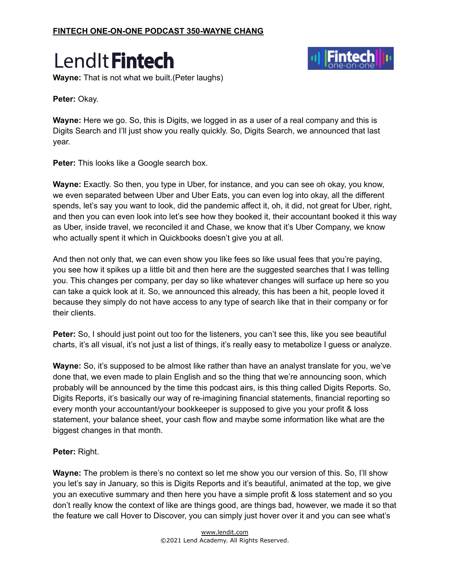

**Wayne:** That is not what we built.(Peter laughs)



**Peter:** Okay.

**Wayne:** Here we go. So, this is Digits, we logged in as a user of a real company and this is Digits Search and I'll just show you really quickly. So, Digits Search, we announced that last year.

**Peter:** This looks like a Google search box.

**Wayne:** Exactly. So then, you type in Uber, for instance, and you can see oh okay, you know, we even separated between Uber and Uber Eats, you can even log into okay, all the different spends, let's say you want to look, did the pandemic affect it, oh, it did, not great for Uber, right, and then you can even look into let's see how they booked it, their accountant booked it this way as Uber, inside travel, we reconciled it and Chase, we know that it's Uber Company, we know who actually spent it which in Quickbooks doesn't give you at all.

And then not only that, we can even show you like fees so like usual fees that you're paying, you see how it spikes up a little bit and then here are the suggested searches that I was telling you. This changes per company, per day so like whatever changes will surface up here so you can take a quick look at it. So, we announced this already, this has been a hit, people loved it because they simply do not have access to any type of search like that in their company or for their clients.

**Peter:** So, I should just point out too for the listeners, you can't see this, like you see beautiful charts, it's all visual, it's not just a list of things, it's really easy to metabolize I guess or analyze.

**Wayne:** So, it's supposed to be almost like rather than have an analyst translate for you, we've done that, we even made to plain English and so the thing that we're announcing soon, which probably will be announced by the time this podcast airs, is this thing called Digits Reports. So, Digits Reports, it's basically our way of re-imagining financial statements, financial reporting so every month your accountant/your bookkeeper is supposed to give you your profit & loss statement, your balance sheet, your cash flow and maybe some information like what are the biggest changes in that month.

**Peter:** Right.

**Wayne:** The problem is there's no context so let me show you our version of this. So, I'll show you let's say in January, so this is Digits Reports and it's beautiful, animated at the top, we give you an executive summary and then here you have a simple profit & loss statement and so you don't really know the context of like are things good, are things bad, however, we made it so that the feature we call Hover to Discover, you can simply just hover over it and you can see what's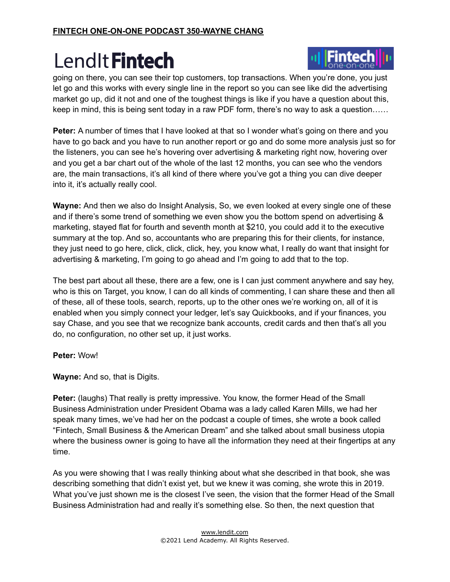

going on there, you can see their top customers, top transactions. When you're done, you just let go and this works with every single line in the report so you can see like did the advertising market go up, did it not and one of the toughest things is like if you have a question about this, keep in mind, this is being sent today in a raw PDF form, there's no way to ask a question……

**Peter:** A number of times that I have looked at that so I wonder what's going on there and you have to go back and you have to run another report or go and do some more analysis just so for the listeners, you can see he's hovering over advertising & marketing right now, hovering over and you get a bar chart out of the whole of the last 12 months, you can see who the vendors are, the main transactions, it's all kind of there where you've got a thing you can dive deeper into it, it's actually really cool.

**Wayne:** And then we also do Insight Analysis, So, we even looked at every single one of these and if there's some trend of something we even show you the bottom spend on advertising & marketing, stayed flat for fourth and seventh month at \$210, you could add it to the executive summary at the top. And so, accountants who are preparing this for their clients, for instance, they just need to go here, click, click, click, hey, you know what, I really do want that insight for advertising & marketing, I'm going to go ahead and I'm going to add that to the top.

The best part about all these, there are a few, one is I can just comment anywhere and say hey, who is this on Target, you know, I can do all kinds of commenting, I can share these and then all of these, all of these tools, search, reports, up to the other ones we're working on, all of it is enabled when you simply connect your ledger, let's say Quickbooks, and if your finances, you say Chase, and you see that we recognize bank accounts, credit cards and then that's all you do, no configuration, no other set up, it just works.

#### **Peter:** Wow!

**Wayne:** And so, that is Digits.

**Peter:** (laughs) That really is pretty impressive. You know, the former Head of the Small Business Administration under President Obama was a lady called Karen Mills, we had her speak many times, we've had her on the podcast a couple of times, she wrote a book called "Fintech, Small Business & the American Dream" and she talked about small business utopia where the business owner is going to have all the information they need at their fingertips at any time.

As you were showing that I was really thinking about what she described in that book, she was describing something that didn't exist yet, but we knew it was coming, she wrote this in 2019. What you've just shown me is the closest I've seen, the vision that the former Head of the Small Business Administration had and really it's something else. So then, the next question that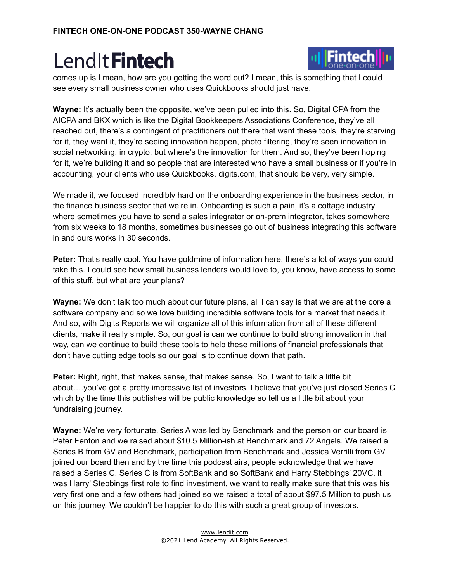

comes up is I mean, how are you getting the word out? I mean, this is something that I could see every small business owner who uses Quickbooks should just have.

**Wayne:** It's actually been the opposite, we've been pulled into this. So, Digital CPA from the AICPA and BKX which is like the Digital Bookkeepers Associations Conference, they've all reached out, there's a contingent of practitioners out there that want these tools, they're starving for it, they want it, they're seeing innovation happen, photo filtering, they're seen innovation in social networking, in crypto, but where's the innovation for them. And so, they've been hoping for it, we're building it and so people that are interested who have a small business or if you're in accounting, your clients who use Quickbooks, digits.com, that should be very, very simple.

We made it, we focused incredibly hard on the onboarding experience in the business sector, in the finance business sector that we're in. Onboarding is such a pain, it's a cottage industry where sometimes you have to send a sales integrator or on-prem integrator, takes somewhere from six weeks to 18 months, sometimes businesses go out of business integrating this software in and ours works in 30 seconds.

**Peter:** That's really cool. You have goldmine of information here, there's a lot of ways you could take this. I could see how small business lenders would love to, you know, have access to some of this stuff, but what are your plans?

**Wayne:** We don't talk too much about our future plans, all I can say is that we are at the core a software company and so we love building incredible software tools for a market that needs it. And so, with Digits Reports we will organize all of this information from all of these different clients, make it really simple. So, our goal is can we continue to build strong innovation in that way, can we continue to build these tools to help these millions of financial professionals that don't have cutting edge tools so our goal is to continue down that path.

**Peter:** Right, right, that makes sense, that makes sense. So, I want to talk a little bit about….you've got a pretty impressive list of investors, I believe that you've just closed Series C which by the time this publishes will be public knowledge so tell us a little bit about your fundraising journey.

**Wayne:** We're very fortunate. Series A was led by Benchmark and the person on our board is Peter Fenton and we raised about \$10.5 Million-ish at Benchmark and 72 Angels. We raised a Series B from GV and Benchmark, participation from Benchmark and Jessica Verrilli from GV joined our board then and by the time this podcast airs, people acknowledge that we have raised a Series C. Series C is from SoftBank and so SoftBank and Harry Stebbings' 20VC, it was Harry' Stebbings first role to find investment, we want to really make sure that this was his very first one and a few others had joined so we raised a total of about \$97.5 Million to push us on this journey. We couldn't be happier to do this with such a great group of investors.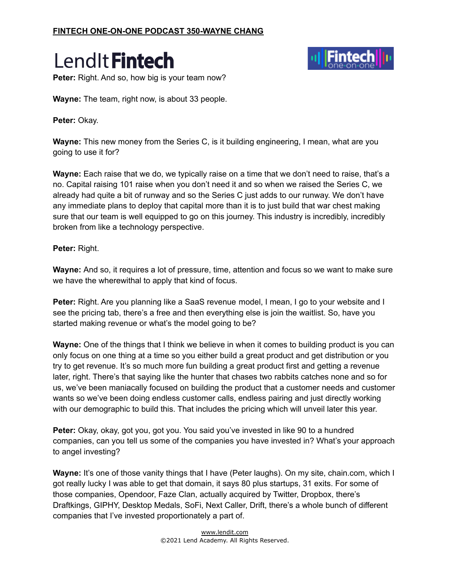



**Peter:** Right. And so, how big is your team now?

**Wayne:** The team, right now, is about 33 people.

**Peter:** Okay.

**Wayne:** This new money from the Series C, is it building engineering, I mean, what are you going to use it for?

**Wayne:** Each raise that we do, we typically raise on a time that we don't need to raise, that's a no. Capital raising 101 raise when you don't need it and so when we raised the Series C, we already had quite a bit of runway and so the Series C just adds to our runway. We don't have any immediate plans to deploy that capital more than it is to just build that war chest making sure that our team is well equipped to go on this journey. This industry is incredibly, incredibly broken from like a technology perspective.

**Peter:** Right.

**Wayne:** And so, it requires a lot of pressure, time, attention and focus so we want to make sure we have the wherewithal to apply that kind of focus.

**Peter:** Right. Are you planning like a SaaS revenue model, I mean, I go to your website and I see the pricing tab, there's a free and then everything else is join the waitlist. So, have you started making revenue or what's the model going to be?

**Wayne:** One of the things that I think we believe in when it comes to building product is you can only focus on one thing at a time so you either build a great product and get distribution or you try to get revenue. It's so much more fun building a great product first and getting a revenue later, right. There's that saying like the hunter that chases two rabbits catches none and so for us, we've been maniacally focused on building the product that a customer needs and customer wants so we've been doing endless customer calls, endless pairing and just directly working with our demographic to build this. That includes the pricing which will unveil later this year.

**Peter:** Okay, okay, got you, got you. You said you've invested in like 90 to a hundred companies, can you tell us some of the companies you have invested in? What's your approach to angel investing?

**Wayne:** It's one of those vanity things that I have (Peter laughs). On my site, chain.com, which I got really lucky I was able to get that domain, it says 80 plus startups, 31 exits. For some of those companies, Opendoor, Faze Clan, actually acquired by Twitter, Dropbox, there's Draftkings, GIPHY, Desktop Medals, SoFi, Next Caller, Drift, there's a whole bunch of different companies that I've invested proportionately a part of.